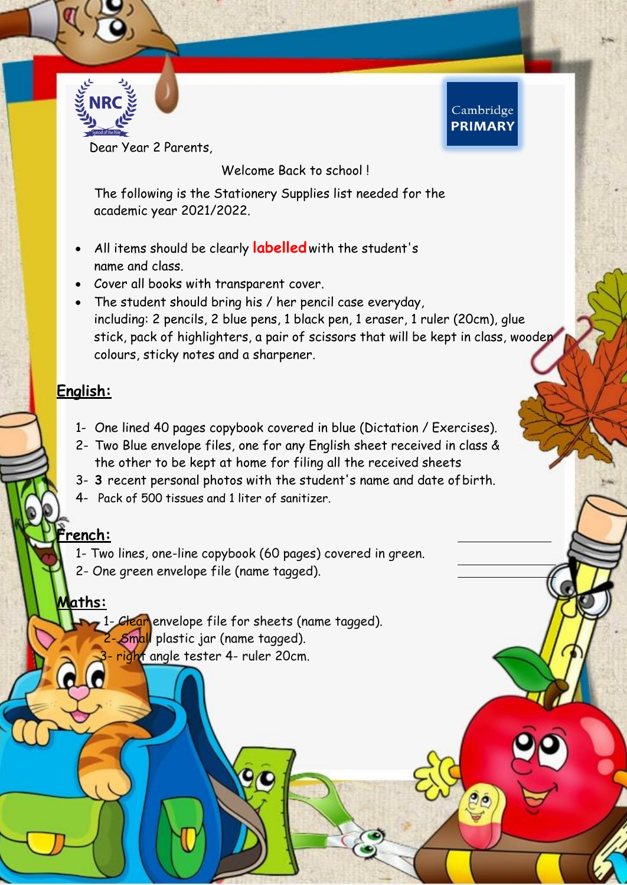

Dear Year 2 Parents,

Welcome Back to school!

Cambridge **PRIMARY** 

The following is the Stationery Supplies list needed for the academic year 2021/2022.

- All items should be clearly **labelled**with the student's name and class.
- Cover all books with transparent cover.
- The student should bring his / her pencil case everyday, including: 2 pencils, 2 blue pens, 1 black pen, 1 eraser, 1 ruler (20cm), glue stick, pack of highlighters, a pair of scissors that will be kept in class, wooden colours, sticky notes and a sharpener.

#### **English:**

- 1- One lined 40 pages copybook covered in blue (Dictation / Exercises).
- 2- Two Blue envelope files, one for any English sheet received in class & the other to be kept at home for filing all the received sheets
- 3- **3** recent personal photos with the student's name and date ofbirth.
- 4- Pack of 500 tissues and 1 liter of sanitizer.

#### **French:**

- 1- Two lines, one-line copybook (60 pages) covered in green.
- 2- One green envelope file (name tagged).

#### **Maths:**

1- Clear envelope file for sheets (name tagged). 2- Small plastic jar (name tagged). right angle tester 4- ruler 20cm.